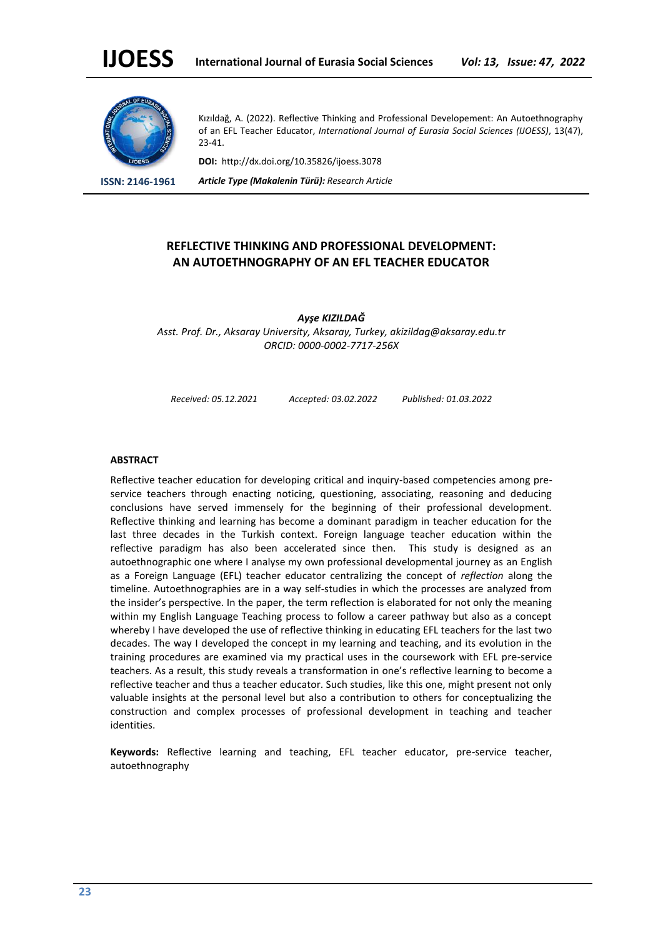

Kızıldağ, A. (2022). Reflective Thinking and Professional Developement: An Autoethnography of an EFL Teacher Educator, *International Journal of Eurasia Social Sciences (IJOESS)*, 13(47), 23-41.

**DOI:** http://dx.doi.org/10.35826/ijoess.3078

**ISSN: 2146-1961** *Article Type (Makalenin Türü): Research Article*

# **REFLECTIVE THINKING AND PROFESSIONAL DEVELOPMENT: AN AUTOETHNOGRAPHY OF AN EFL TEACHER EDUCATOR**

*Ayşe KIZILDAĞ Asst. Prof. Dr., Aksaray University, Aksaray, Turkey, akizildag@aksaray.edu.tr ORCID: 0000-0002-7717-256X*

*Received: 05.12.2021 Accepted: 03.02.2022 Published: 01.03.2022*

#### **ABSTRACT**

Reflective teacher education for developing critical and inquiry-based competencies among preservice teachers through enacting noticing, questioning, associating, reasoning and deducing conclusions have served immensely for the beginning of their professional development. Reflective thinking and learning has become a dominant paradigm in teacher education for the last three decades in the Turkish context. Foreign language teacher education within the reflective paradigm has also been accelerated since then. This study is designed as an autoethnographic one where I analyse my own professional developmental journey as an English as a Foreign Language (EFL) teacher educator centralizing the concept of *reflection* along the timeline. Autoethnographies are in a way self-studies in which the processes are analyzed from the insider's perspective. In the paper, the term reflection is elaborated for not only the meaning within my English Language Teaching process to follow a career pathway but also as a concept whereby I have developed the use of reflective thinking in educating EFL teachers for the last two decades. The way I developed the concept in my learning and teaching, and its evolution in the training procedures are examined via my practical uses in the coursework with EFL pre-service teachers. As a result, this study reveals a transformation in one's reflective learning to become a reflective teacher and thus a teacher educator. Such studies, like this one, might present not only valuable insights at the personal level but also a contribution to others for conceptualizing the construction and complex processes of professional development in teaching and teacher identities.

**Keywords:** Reflective learning and teaching, EFL teacher educator, pre-service teacher, autoethnography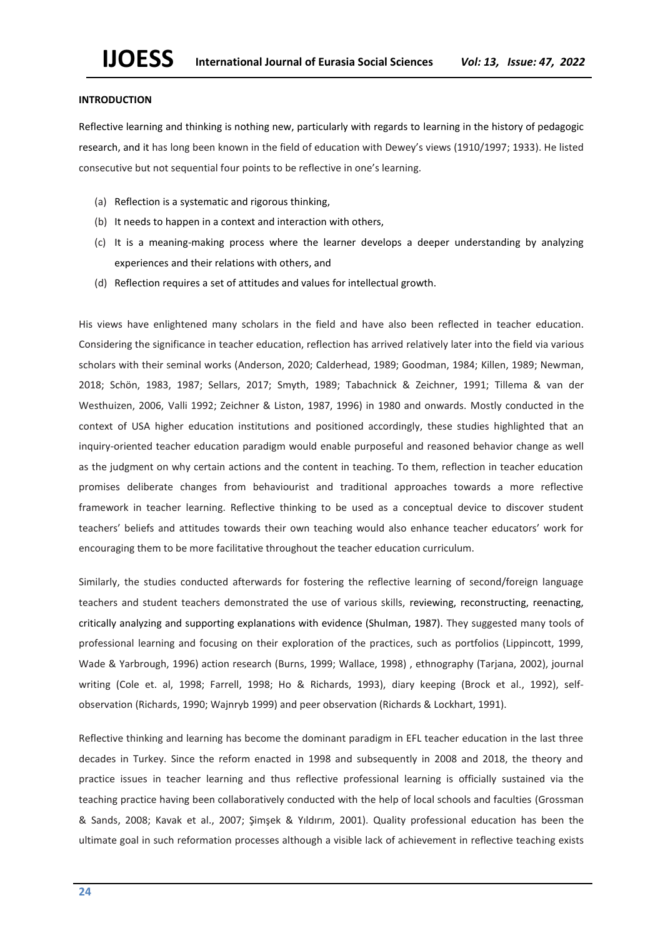## **INTRODUCTION**

Reflective learning and thinking is nothing new, particularly with regards to learning in the history of pedagogic research, and it has long been known in the field of education with Dewey's views (1910/1997; 1933). He listed consecutive but not sequential four points to be reflective in one's learning.

- (a) Reflection is a systematic and rigorous thinking,
- (b) It needs to happen in a context and interaction with others,
- (c) It is a meaning-making process where the learner develops a deeper understanding by analyzing experiences and their relations with others, and
- (d) Reflection requires a set of attitudes and values for intellectual growth.

His views have enlightened many scholars in the field and have also been reflected in teacher education. Considering the significance in teacher education, reflection has arrived relatively later into the field via various scholars with their seminal works (Anderson, 2020; Calderhead, 1989; Goodman, 1984; Killen, 1989; Newman, 2018; Schön, 1983, 1987; Sellars, 2017; Smyth, 1989; Tabachnick & Zeichner, 1991; Tillema & van der Westhuizen, 2006, Valli 1992; Zeichner & Liston, 1987, 1996) in 1980 and onwards. Mostly conducted in the context of USA higher education institutions and positioned accordingly, these studies highlighted that an inquiry-oriented teacher education paradigm would enable purposeful and reasoned behavior change as well as the judgment on why certain actions and the content in teaching. To them, reflection in teacher education promises deliberate changes from behaviourist and traditional approaches towards a more reflective framework in teacher learning. Reflective thinking to be used as a conceptual device to discover student teachers' beliefs and attitudes towards their own teaching would also enhance teacher educators' work for encouraging them to be more facilitative throughout the teacher education curriculum.

Similarly, the studies conducted afterwards for fostering the reflective learning of second/foreign language teachers and student teachers demonstrated the use of various skills, reviewing, reconstructing, reenacting, critically analyzing and supporting explanations with evidence (Shulman, 1987). They suggested many tools of professional learning and focusing on their exploration of the practices, such as portfolios (Lippincott, 1999, Wade & Yarbrough, 1996) action research (Burns, 1999; Wallace, 1998) , ethnography (Tarjana, 2002), journal writing (Cole et. al, 1998; Farrell, 1998; Ho & Richards, 1993), diary keeping (Brock et al., 1992), selfobservation (Richards, 1990; Wajnryb 1999) and peer observation (Richards & Lockhart, 1991).

Reflective thinking and learning has become the dominant paradigm in EFL teacher education in the last three decades in Turkey. Since the reform enacted in 1998 and subsequently in 2008 and 2018, the theory and practice issues in teacher learning and thus reflective professional learning is officially sustained via the teaching practice having been collaboratively conducted with the help of local schools and faculties (Grossman & Sands, 2008; Kavak et al., 2007; Şimşek & Yıldırım, 2001). Quality professional education has been the ultimate goal in such reformation processes although a visible lack of achievement in reflective teaching exists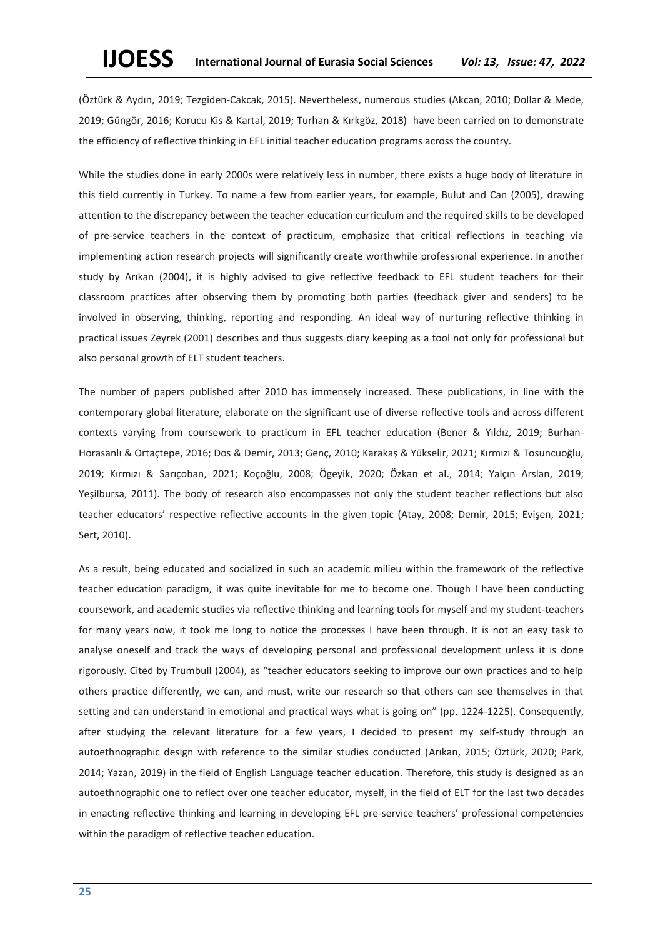(Öztürk & Aydın, 2019; Tezgiden-Cakcak, 2015). Nevertheless, numerous studies (Akcan, 2010; Dollar & Mede, 2019; Güngör, 2016; Korucu Kis & Kartal, 2019; Turhan & Kırkgöz, 2018) have been carried on to demonstrate the efficiency of reflective thinking in EFL initial teacher education programs across the country.

While the studies done in early 2000s were relatively less in number, there exists a huge body of literature in this field currently in Turkey. To name a few from earlier years, for example, Bulut and Can (2005), drawing attention to the discrepancy between the teacher education curriculum and the required skills to be developed of pre-service teachers in the context of practicum, emphasize that critical reflections in teaching via implementing action research projects will significantly create worthwhile professional experience. In another study by Arıkan (2004), it is highly advised to give reflective feedback to EFL student teachers for their classroom practices after observing them by promoting both parties (feedback giver and senders) to be involved in observing, thinking, reporting and responding. An ideal way of nurturing reflective thinking in practical issues Zeyrek (2001) describes and thus suggests diary keeping as a tool not only for professional but also personal growth of ELT student teachers.

The number of papers published after 2010 has immensely increased. These publications, in line with the contemporary global literature, elaborate on the significant use of diverse reflective tools and across different contexts varying from coursework to practicum in EFL teacher education (Bener & Yıldız, 2019; Burhan-Horasanlı & Ortaçtepe, 2016; Dos & Demir, 2013; Genç, 2010; Karakaş & Yükselir, 2021; Kırmızı & Tosuncuoğlu, 2019; Kırmızı & Sarıçoban, 2021; Koçoğlu, 2008; Ögeyik, 2020; Özkan et al., 2014; Yalçın Arslan, 2019; Yeşilbursa, 2011). The body of research also encompasses not only the student teacher reflections but also teacher educators' respective reflective accounts in the given topic (Atay, 2008; Demir, 2015; Evişen, 2021; Sert, 2010).

As a result, being educated and socialized in such an academic milieu within the framework of the reflective teacher education paradigm, it was quite inevitable for me to become one. Though I have been conducting coursework, and academic studies via reflective thinking and learning tools for myself and my student-teachers for many years now, it took me long to notice the processes I have been through. It is not an easy task to analyse oneself and track the ways of developing personal and professional development unless it is done rigorously. Cited by Trumbull (2004), as "teacher educators seeking to improve our own practices and to help others practice differently, we can, and must, write our research so that others can see themselves in that setting and can understand in emotional and practical ways what is going on" (pp. 1224-1225). Consequently, after studying the relevant literature for a few years, I decided to present my self-study through an autoethnographic design with reference to the similar studies conducted (Arıkan, 2015; Öztürk, 2020; Park, 2014; Yazan, 2019) in the field of English Language teacher education. Therefore, this study is designed as an autoethnographic one to reflect over one teacher educator, myself, in the field of ELT for the last two decades in enacting reflective thinking and learning in developing EFL pre-service teachers' professional competencies within the paradigm of reflective teacher education.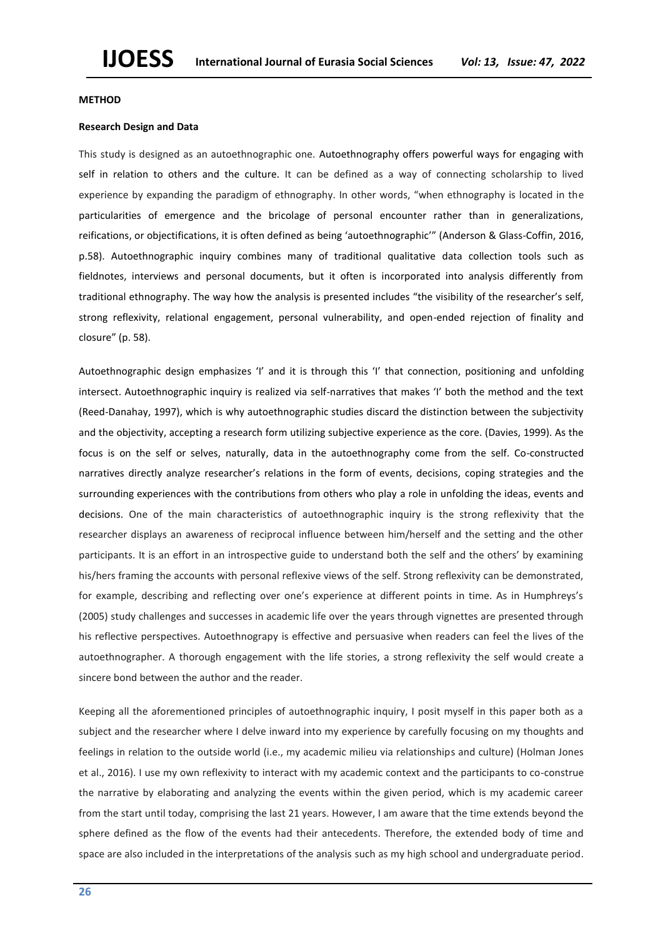#### **METHOD**

## **Research Design and Data**

This study is designed as an autoethnographic one. Autoethnography offers powerful ways for engaging with self in relation to others and the culture. It can be defined as a way of connecting scholarship to lived experience by expanding the paradigm of ethnography. In other words, "when ethnography is located in the particularities of emergence and the bricolage of personal encounter rather than in generalizations, reifications, or objectifications, it is often defined as being 'autoethnographic'" (Anderson & Glass-Coffin, 2016, p.58). Autoethnographic inquiry combines many of traditional qualitative data collection tools such as fieldnotes, interviews and personal documents, but it often is incorporated into analysis differently from traditional ethnography. The way how the analysis is presented includes "the visibility of the researcher's self, strong reflexivity, relational engagement, personal vulnerability, and open-ended rejection of finality and closure" (p. 58).

Autoethnographic design emphasizes 'I' and it is through this 'I' that connection, positioning and unfolding intersect. Autoethnographic inquiry is realized via self-narratives that makes 'I' both the method and the text (Reed-Danahay, 1997), which is why autoethnographic studies discard the distinction between the subjectivity and the objectivity, accepting a research form utilizing subjective experience as the core. (Davies, 1999). As the focus is on the self or selves, naturally, data in the autoethnography come from the self. Co-constructed narratives directly analyze researcher's relations in the form of events, decisions, coping strategies and the surrounding experiences with the contributions from others who play a role in unfolding the ideas, events and decisions. One of the main characteristics of autoethnographic inquiry is the strong reflexivity that the researcher displays an awareness of reciprocal influence between him/herself and the setting and the other participants. It is an effort in an introspective guide to understand both the self and the others' by examining his/hers framing the accounts with personal reflexive views of the self. Strong reflexivity can be demonstrated, for example, describing and reflecting over one's experience at different points in time. As in Humphreys's (2005) study challenges and successes in academic life over the years through vignettes are presented through his reflective perspectives. Autoethnograpy is effective and persuasive when readers can feel the lives of the autoethnographer. A thorough engagement with the life stories, a strong reflexivity the self would create a sincere bond between the author and the reader.

Keeping all the aforementioned principles of autoethnographic inquiry, I posit myself in this paper both as a subject and the researcher where I delve inward into my experience by carefully focusing on my thoughts and feelings in relation to the outside world (i.e., my academic milieu via relationships and culture) (Holman Jones et al., 2016). I use my own reflexivity to interact with my academic context and the participants to co-construe the narrative by elaborating and analyzing the events within the given period, which is my academic career from the start until today, comprising the last 21 years. However, I am aware that the time extends beyond the sphere defined as the flow of the events had their antecedents. Therefore, the extended body of time and space are also included in the interpretations of the analysis such as my high school and undergraduate period.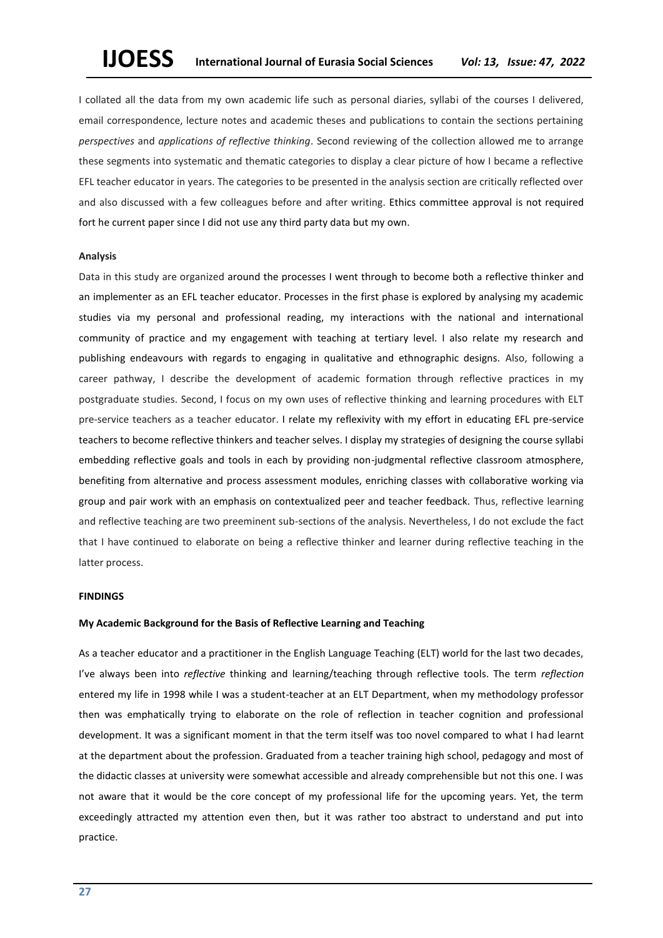I collated all the data from my own academic life such as personal diaries, syllabi of the courses I delivered, email correspondence, lecture notes and academic theses and publications to contain the sections pertaining *perspectives* and *applications of reflective thinking*. Second reviewing of the collection allowed me to arrange these segments into systematic and thematic categories to display a clear picture of how I became a reflective EFL teacher educator in years. The categories to be presented in the analysis section are critically reflected over and also discussed with a few colleagues before and after writing. Ethics committee approval is not required fort he current paper since I did not use any third party data but my own.

#### **Analysis**

Data in this study are organized around the processes I went through to become both a reflective thinker and an implementer as an EFL teacher educator. Processes in the first phase is explored by analysing my academic studies via my personal and professional reading, my interactions with the national and international community of practice and my engagement with teaching at tertiary level. I also relate my research and publishing endeavours with regards to engaging in qualitative and ethnographic designs. Also, following a career pathway, I describe the development of academic formation through reflective practices in my postgraduate studies. Second, I focus on my own uses of reflective thinking and learning procedures with ELT pre-service teachers as a teacher educator. I relate my reflexivity with my effort in educating EFL pre-service teachers to become reflective thinkers and teacher selves. I display my strategies of designing the course syllabi embedding reflective goals and tools in each by providing non-judgmental reflective classroom atmosphere, benefiting from alternative and process assessment modules, enriching classes with collaborative working via group and pair work with an emphasis on contextualized peer and teacher feedback. Thus, reflective learning and reflective teaching are two preeminent sub-sections of the analysis. Nevertheless, I do not exclude the fact that I have continued to elaborate on being a reflective thinker and learner during reflective teaching in the latter process.

#### **FINDINGS**

## **My Academic Background for the Basis of Reflective Learning and Teaching**

As a teacher educator and a practitioner in the English Language Teaching (ELT) world for the last two decades, I've always been into *reflective* thinking and learning/teaching through reflective tools. The term *reflection* entered my life in 1998 while I was a student-teacher at an ELT Department, when my methodology professor then was emphatically trying to elaborate on the role of reflection in teacher cognition and professional development. It was a significant moment in that the term itself was too novel compared to what I had learnt at the department about the profession. Graduated from a teacher training high school, pedagogy and most of the didactic classes at university were somewhat accessible and already comprehensible but not this one. I was not aware that it would be the core concept of my professional life for the upcoming years. Yet, the term exceedingly attracted my attention even then, but it was rather too abstract to understand and put into practice.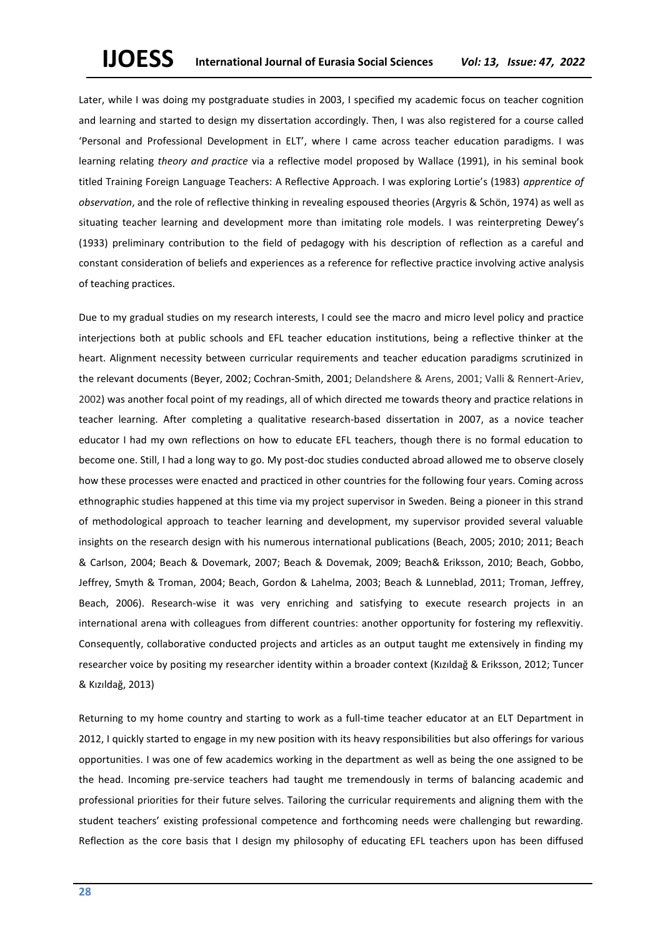Later, while I was doing my postgraduate studies in 2003, I specified my academic focus on teacher cognition and learning and started to design my dissertation accordingly. Then, I was also registered for a course called 'Personal and Professional Development in ELT', where I came across teacher education paradigms. I was learning relating *theory and practice* via a reflective model proposed by Wallace (1991), in his seminal book titled Training Foreign Language Teachers: A Reflective Approach. I was exploring Lortie's (1983) *apprentice of observation*, and the role of reflective thinking in revealing espoused theories (Argyris & Schön, 1974) as well as situating teacher learning and development more than imitating role models. I was reinterpreting Dewey's (1933) preliminary contribution to the field of pedagogy with his description of reflection as a careful and constant consideration of beliefs and experiences as a reference for reflective practice involving active analysis of teaching practices.

Due to my gradual studies on my research interests, I could see the macro and micro level policy and practice interjections both at public schools and EFL teacher education institutions, being a reflective thinker at the heart. Alignment necessity between curricular requirements and teacher education paradigms scrutinized in the relevant documents (Beyer, 2002; Cochran-Smith, 2001; Delandshere & Arens, 2001; Valli & Rennert-Ariev, 2002) was another focal point of my readings, all of which directed me towards theory and practice relations in teacher learning. After completing a qualitative research-based dissertation in 2007, as a novice teacher educator I had my own reflections on how to educate EFL teachers, though there is no formal education to become one. Still, I had a long way to go. My post-doc studies conducted abroad allowed me to observe closely how these processes were enacted and practiced in other countries for the following four years. Coming across ethnographic studies happened at this time via my project supervisor in Sweden. Being a pioneer in this strand of methodological approach to teacher learning and development, my supervisor provided several valuable insights on the research design with his numerous international publications (Beach, 2005; 2010; 2011; Beach & Carlson, 2004; Beach & Dovemark, 2007; Beach & Dovemak, 2009; Beach& Eriksson, 2010; Beach, Gobbo, Jeffrey, Smyth & Troman, 2004; Beach, Gordon & Lahelma, 2003; Beach & Lunneblad, 2011; Troman, Jeffrey, Beach, 2006). Research-wise it was very enriching and satisfying to execute research projects in an international arena with colleagues from different countries: another opportunity for fostering my reflexvitiy. Consequently, collaborative conducted projects and articles as an output taught me extensively in finding my researcher voice by positing my researcher identity within a broader context (Kızıldağ & Eriksson, 2012; Tuncer & Kızıldağ, 2013)

Returning to my home country and starting to work as a full-time teacher educator at an ELT Department in 2012, I quickly started to engage in my new position with its heavy responsibilities but also offerings for various opportunities. I was one of few academics working in the department as well as being the one assigned to be the head. Incoming pre-service teachers had taught me tremendously in terms of balancing academic and professional priorities for their future selves. Tailoring the curricular requirements and aligning them with the student teachers' existing professional competence and forthcoming needs were challenging but rewarding. Reflection as the core basis that I design my philosophy of educating EFL teachers upon has been diffused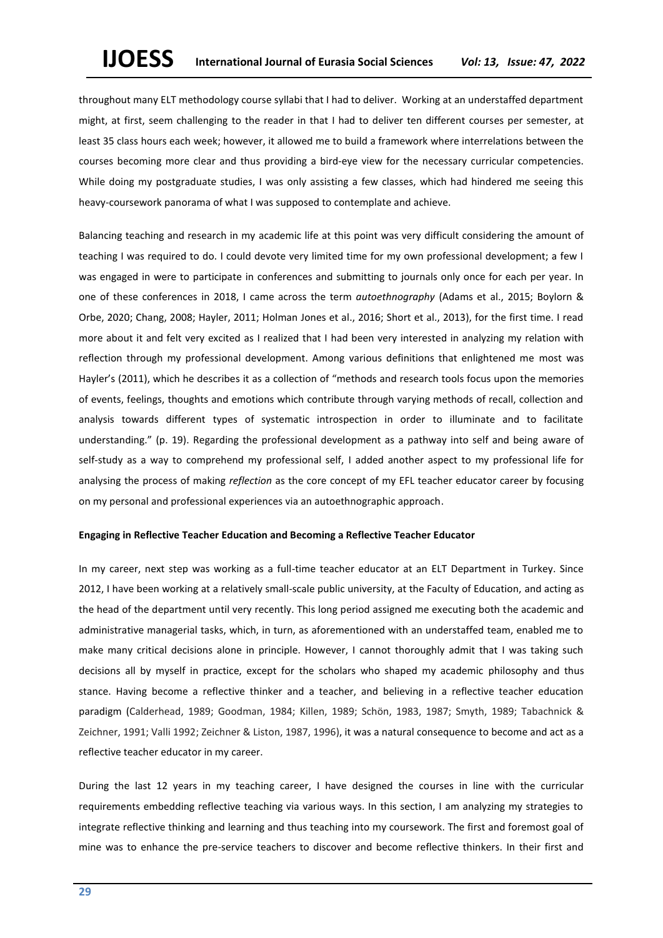throughout many ELT methodology course syllabi that I had to deliver. Working at an understaffed department might, at first, seem challenging to the reader in that I had to deliver ten different courses per semester, at least 35 class hours each week; however, it allowed me to build a framework where interrelations between the courses becoming more clear and thus providing a bird-eye view for the necessary curricular competencies. While doing my postgraduate studies, I was only assisting a few classes, which had hindered me seeing this heavy-coursework panorama of what I was supposed to contemplate and achieve.

Balancing teaching and research in my academic life at this point was very difficult considering the amount of teaching I was required to do. I could devote very limited time for my own professional development; a few I was engaged in were to participate in conferences and submitting to journals only once for each per year. In one of these conferences in 2018, I came across the term *autoethnography* (Adams et al., 2015; Boylorn & Orbe, 2020; Chang, 2008; Hayler, 2011; Holman Jones et al., 2016; Short et al., 2013), for the first time. I read more about it and felt very excited as I realized that I had been very interested in analyzing my relation with reflection through my professional development. Among various definitions that enlightened me most was Hayler's (2011), which he describes it as a collection of "methods and research tools focus upon the memories of events, feelings, thoughts and emotions which contribute through varying methods of recall, collection and analysis towards different types of systematic introspection in order to illuminate and to facilitate understanding." (p. 19). Regarding the professional development as a pathway into self and being aware of self-study as a way to comprehend my professional self, I added another aspect to my professional life for analysing the process of making *reflection* as the core concept of my EFL teacher educator career by focusing on my personal and professional experiences via an autoethnographic approach.

#### **Engaging in Reflective Teacher Education and Becoming a Reflective Teacher Educator**

In my career, next step was working as a full-time teacher educator at an ELT Department in Turkey. Since 2012, I have been working at a relatively small-scale public university, at the Faculty of Education, and acting as the head of the department until very recently. This long period assigned me executing both the academic and administrative managerial tasks, which, in turn, as aforementioned with an understaffed team, enabled me to make many critical decisions alone in principle. However, I cannot thoroughly admit that I was taking such decisions all by myself in practice, except for the scholars who shaped my academic philosophy and thus stance. Having become a reflective thinker and a teacher, and believing in a reflective teacher education paradigm (Calderhead, 1989; Goodman, 1984; Killen, 1989; Schön, 1983, 1987; Smyth, 1989; Tabachnick & Zeichner, 1991; Valli 1992; Zeichner & Liston, 1987, 1996), it was a natural consequence to become and act as a reflective teacher educator in my career.

During the last 12 years in my teaching career, I have designed the courses in line with the curricular requirements embedding reflective teaching via various ways. In this section, I am analyzing my strategies to integrate reflective thinking and learning and thus teaching into my coursework. The first and foremost goal of mine was to enhance the pre-service teachers to discover and become reflective thinkers. In their first and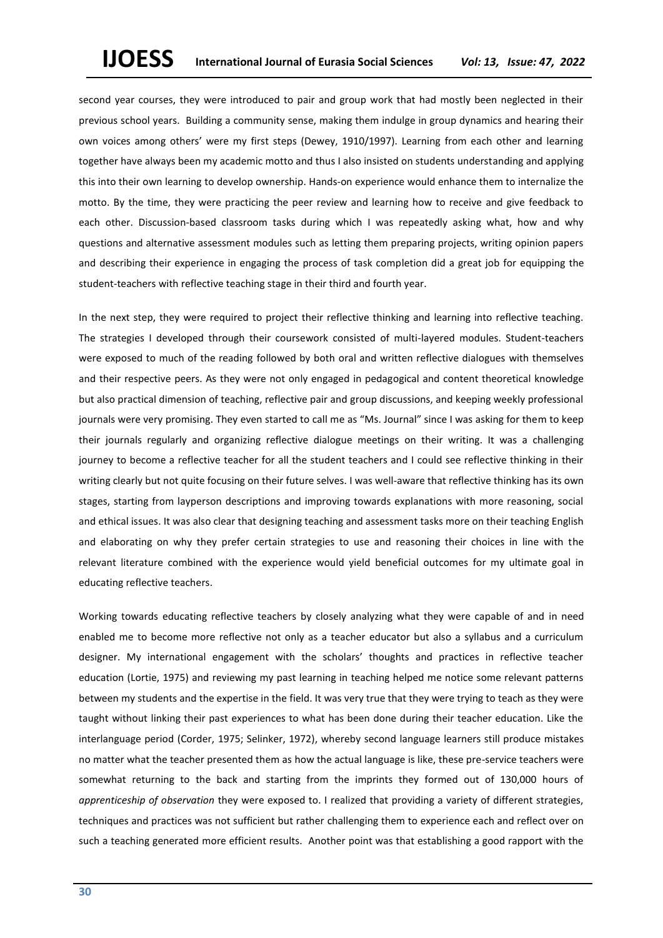second year courses, they were introduced to pair and group work that had mostly been neglected in their previous school years. Building a community sense, making them indulge in group dynamics and hearing their own voices among others' were my first steps (Dewey, 1910/1997). Learning from each other and learning together have always been my academic motto and thus I also insisted on students understanding and applying this into their own learning to develop ownership. Hands-on experience would enhance them to internalize the motto. By the time, they were practicing the peer review and learning how to receive and give feedback to each other. Discussion-based classroom tasks during which I was repeatedly asking what, how and why questions and alternative assessment modules such as letting them preparing projects, writing opinion papers and describing their experience in engaging the process of task completion did a great job for equipping the student-teachers with reflective teaching stage in their third and fourth year.

In the next step, they were required to project their reflective thinking and learning into reflective teaching. The strategies I developed through their coursework consisted of multi-layered modules. Student-teachers were exposed to much of the reading followed by both oral and written reflective dialogues with themselves and their respective peers. As they were not only engaged in pedagogical and content theoretical knowledge but also practical dimension of teaching, reflective pair and group discussions, and keeping weekly professional journals were very promising. They even started to call me as "Ms. Journal" since I was asking for them to keep their journals regularly and organizing reflective dialogue meetings on their writing. It was a challenging journey to become a reflective teacher for all the student teachers and I could see reflective thinking in their writing clearly but not quite focusing on their future selves. I was well-aware that reflective thinking has its own stages, starting from layperson descriptions and improving towards explanations with more reasoning, social and ethical issues. It was also clear that designing teaching and assessment tasks more on their teaching English and elaborating on why they prefer certain strategies to use and reasoning their choices in line with the relevant literature combined with the experience would yield beneficial outcomes for my ultimate goal in educating reflective teachers.

Working towards educating reflective teachers by closely analyzing what they were capable of and in need enabled me to become more reflective not only as a teacher educator but also a syllabus and a curriculum designer. My international engagement with the scholars' thoughts and practices in reflective teacher education (Lortie, 1975) and reviewing my past learning in teaching helped me notice some relevant patterns between my students and the expertise in the field. It was very true that they were trying to teach as they were taught without linking their past experiences to what has been done during their teacher education. Like the interlanguage period (Corder, 1975; Selinker, 1972), whereby second language learners still produce mistakes no matter what the teacher presented them as how the actual language is like, these pre-service teachers were somewhat returning to the back and starting from the imprints they formed out of 130,000 hours of *apprenticeship of observation* they were exposed to. I realized that providing a variety of different strategies, techniques and practices was not sufficient but rather challenging them to experience each and reflect over on such a teaching generated more efficient results. Another point was that establishing a good rapport with the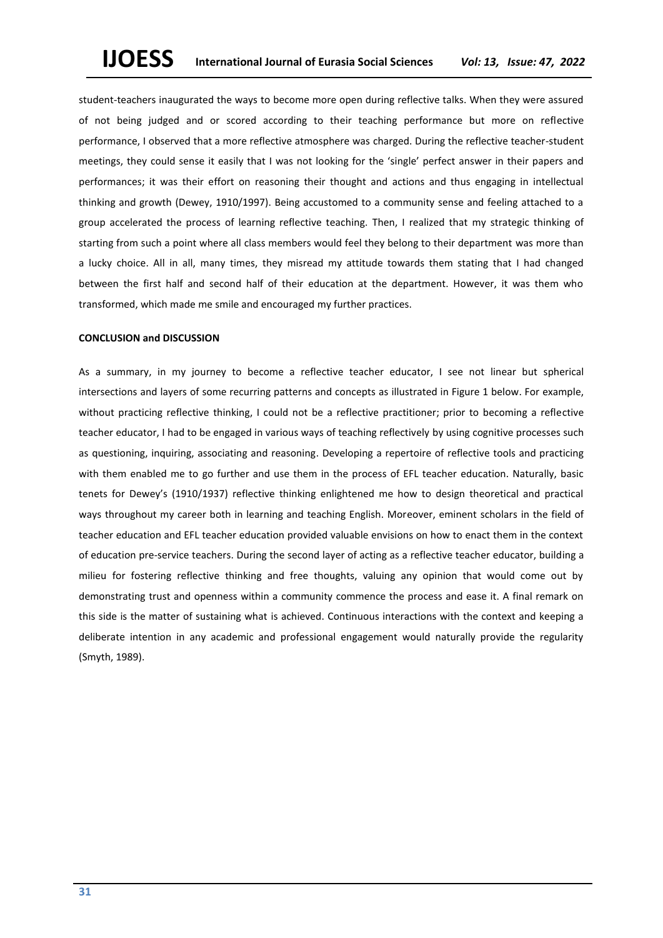student-teachers inaugurated the ways to become more open during reflective talks. When they were assured of not being judged and or scored according to their teaching performance but more on reflective performance, I observed that a more reflective atmosphere was charged. During the reflective teacher-student meetings, they could sense it easily that I was not looking for the 'single' perfect answer in their papers and performances; it was their effort on reasoning their thought and actions and thus engaging in intellectual thinking and growth (Dewey, 1910/1997). Being accustomed to a community sense and feeling attached to a group accelerated the process of learning reflective teaching. Then, I realized that my strategic thinking of starting from such a point where all class members would feel they belong to their department was more than a lucky choice. All in all, many times, they misread my attitude towards them stating that I had changed between the first half and second half of their education at the department. However, it was them who transformed, which made me smile and encouraged my further practices.

## **CONCLUSION and DISCUSSION**

As a summary, in my journey to become a reflective teacher educator, I see not linear but spherical intersections and layers of some recurring patterns and concepts as illustrated in Figure 1 below. For example, without practicing reflective thinking, I could not be a reflective practitioner; prior to becoming a reflective teacher educator, I had to be engaged in various ways of teaching reflectively by using cognitive processes such as questioning, inquiring, associating and reasoning. Developing a repertoire of reflective tools and practicing with them enabled me to go further and use them in the process of EFL teacher education. Naturally, basic tenets for Dewey's (1910/1937) reflective thinking enlightened me how to design theoretical and practical ways throughout my career both in learning and teaching English. Moreover, eminent scholars in the field of teacher education and EFL teacher education provided valuable envisions on how to enact them in the context of education pre-service teachers. During the second layer of acting as a reflective teacher educator, building a milieu for fostering reflective thinking and free thoughts, valuing any opinion that would come out by demonstrating trust and openness within a community commence the process and ease it. A final remark on this side is the matter of sustaining what is achieved. Continuous interactions with the context and keeping a deliberate intention in any academic and professional engagement would naturally provide the regularity (Smyth, 1989).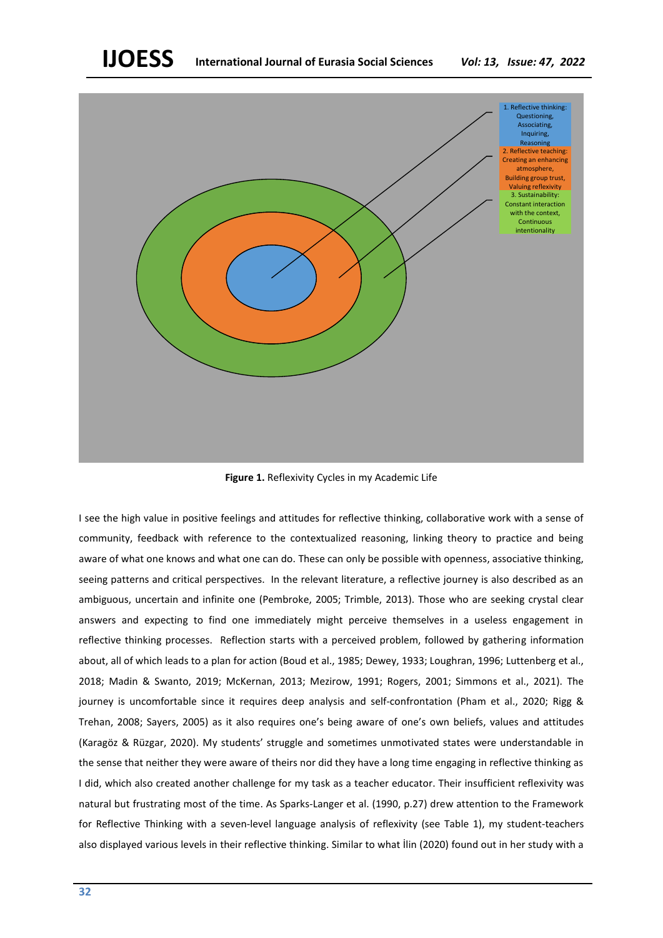

**Figure 1.** Reflexivity Cycles in my Academic Life

I see the high value in positive feelings and attitudes for reflective thinking, collaborative work with a sense of community, feedback with reference to the contextualized reasoning, linking theory to practice and being aware of what one knows and what one can do. These can only be possible with openness, associative thinking, seeing patterns and critical perspectives. In the relevant literature, a reflective journey is also described as an ambiguous, uncertain and infinite one (Pembroke, 2005; Trimble, 2013). Those who are seeking crystal clear answers and expecting to find one immediately might perceive themselves in a useless engagement in reflective thinking processes. Reflection starts with a perceived problem, followed by gathering information about, all of which leads to a plan for action (Boud et al., 1985; Dewey, 1933; Loughran, 1996; Luttenberg et al., 2018; Madin & Swanto, 2019; McKernan, 2013; Mezirow, 1991; Rogers, 2001; Simmons et al., 2021). The journey is uncomfortable since it requires deep analysis and self-confrontation (Pham et al., 2020; Rigg & Trehan, 2008; Sayers, 2005) as it also requires one's being aware of one's own beliefs, values and attitudes (Karagöz & Rüzgar, 2020). My students' struggle and sometimes unmotivated states were understandable in the sense that neither they were aware of theirs nor did they have a long time engaging in reflective thinking as I did, which also created another challenge for my task as a teacher educator. Their insufficient reflexivity was natural but frustrating most of the time. As Sparks-Langer et al. (1990, p.27) drew attention to the Framework for Reflective Thinking with a seven-level language analysis of reflexivity (see Table 1), my student-teachers also displayed various levels in their reflective thinking. Similar to what İlin (2020) found out in her study with a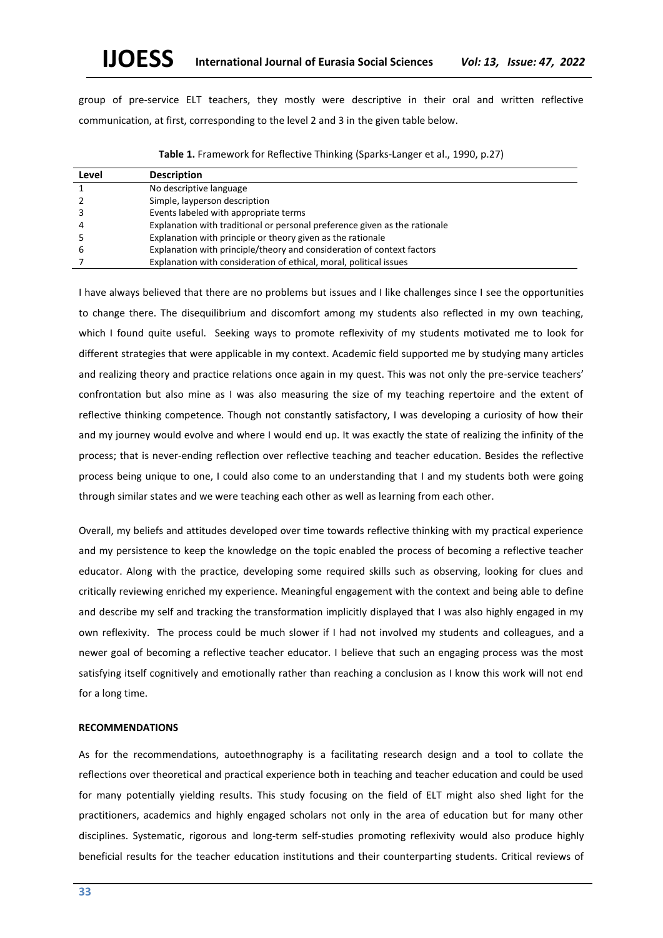group of pre-service ELT teachers, they mostly were descriptive in their oral and written reflective communication, at first, corresponding to the level 2 and 3 in the given table below.

| Level | <b>Description</b>                                                         |
|-------|----------------------------------------------------------------------------|
|       | No descriptive language                                                    |
|       | Simple, layperson description                                              |
|       | Events labeled with appropriate terms                                      |
|       | Explanation with traditional or personal preference given as the rationale |
|       | Explanation with principle or theory given as the rationale                |
| b     | Explanation with principle/theory and consideration of context factors     |
|       | Explanation with consideration of ethical, moral, political issues         |

**Table 1.** Framework for Reflective Thinking (Sparks-Langer et al., 1990, p.27)

I have always believed that there are no problems but issues and I like challenges since I see the opportunities to change there. The disequilibrium and discomfort among my students also reflected in my own teaching, which I found quite useful. Seeking ways to promote reflexivity of my students motivated me to look for different strategies that were applicable in my context. Academic field supported me by studying many articles and realizing theory and practice relations once again in my quest. This was not only the pre-service teachers' confrontation but also mine as I was also measuring the size of my teaching repertoire and the extent of reflective thinking competence. Though not constantly satisfactory, I was developing a curiosity of how their and my journey would evolve and where I would end up. It was exactly the state of realizing the infinity of the process; that is never-ending reflection over reflective teaching and teacher education. Besides the reflective process being unique to one, I could also come to an understanding that I and my students both were going through similar states and we were teaching each other as well as learning from each other.

Overall, my beliefs and attitudes developed over time towards reflective thinking with my practical experience and my persistence to keep the knowledge on the topic enabled the process of becoming a reflective teacher educator. Along with the practice, developing some required skills such as observing, looking for clues and critically reviewing enriched my experience. Meaningful engagement with the context and being able to define and describe my self and tracking the transformation implicitly displayed that I was also highly engaged in my own reflexivity. The process could be much slower if I had not involved my students and colleagues, and a newer goal of becoming a reflective teacher educator. I believe that such an engaging process was the most satisfying itself cognitively and emotionally rather than reaching a conclusion as I know this work will not end for a long time.

# **RECOMMENDATIONS**

As for the recommendations, autoethnography is a facilitating research design and a tool to collate the reflections over theoretical and practical experience both in teaching and teacher education and could be used for many potentially yielding results. This study focusing on the field of ELT might also shed light for the practitioners, academics and highly engaged scholars not only in the area of education but for many other disciplines. Systematic, rigorous and long-term self-studies promoting reflexivity would also produce highly beneficial results for the teacher education institutions and their counterparting students. Critical reviews of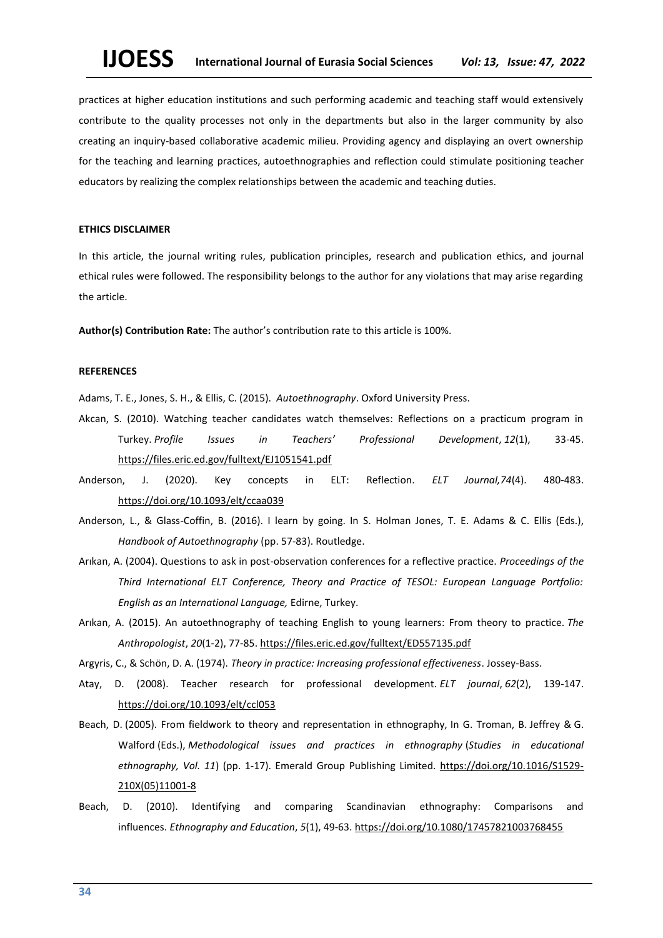practices at higher education institutions and such performing academic and teaching staff would extensively contribute to the quality processes not only in the departments but also in the larger community by also creating an inquiry-based collaborative academic milieu. Providing agency and displaying an overt ownership for the teaching and learning practices, autoethnographies and reflection could stimulate positioning teacher educators by realizing the complex relationships between the academic and teaching duties.

# **ETHICS DISCLAIMER**

In this article, the journal writing rules, publication principles, research and publication ethics, and journal ethical rules were followed. The responsibility belongs to the author for any violations that may arise regarding the article.

**Author(s) Contribution Rate:** The author's contribution rate to this article is 100%.

# **REFERENCES**

Adams, T. E., Jones, S. H., & Ellis, C. (2015). *Autoethnography*. Oxford University Press.

- Akcan, S. (2010). Watching teacher candidates watch themselves: Reflections on a practicum program in Turkey. *Profile Issues in Teachers' Professional Development*, *12*(1), 33-45. <https://files.eric.ed.gov/fulltext/EJ1051541.pdf>
- Anderson, J. (2020). Key concepts in ELT: Reflection. *ELT Journal,74*(4). 480-483. <https://doi.org/10.1093/elt/ccaa039>
- Anderson, L., & Glass-Coffin, B. (2016). I learn by going. In S. Holman Jones, T. E. Adams & C. Ellis (Eds.), *Handbook of Autoethnography* (pp. 57-83). Routledge.
- Arıkan, A. (2004). Questions to ask in post-observation conferences for a reflective practice. *Proceedings of the Third International ELT Conference, Theory and Practice of TESOL: European Language Portfolio: English as an International Language,* Edirne, Turkey.
- Arıkan, A. (2015). An autoethnography of teaching English to young learners: From theory to practice. *The Anthropologist*, *20*(1-2), 77-85[. https://files.eric.ed.gov/fulltext/ED557135.pdf](https://files.eric.ed.gov/fulltext/ED557135.pdf)

Argyris, C., & Schön, D. A. (1974). *Theory in practice: Increasing professional effectiveness*. Jossey-Bass.

- Atay, D. (2008). Teacher research for professional development. *ELT journal*, *62*(2), 139-147. <https://doi.org/10.1093/elt/ccl053>
- [Beach, D.](https://www.emerald.com/insight/search?q=Dennis%20Beach) (2005). From fieldwork to theory and representation in ethnography, In G. Troman, B. [Jeffrey](https://www.emerald.com/insight/search?q=Bob%20Jeffrey) & G. Walford (Eds.), *Methodological issues and practices in ethnography* (*Studies in educational ethnography, Vol. 11*) (pp. 1-17). Emerald Group Publishing Limited. [https://doi.org/10.1016/S1529-](https://doi.org/10.1016/S1529-210X(05)11001-8) [210X\(05\)11001-8](https://doi.org/10.1016/S1529-210X(05)11001-8)
- Beach, D. (2010). Identifying and comparing Scandinavian ethnography: Comparisons and influences. *Ethnography and Education*, *5*(1), 49-63. <https://doi.org/10.1080/17457821003768455>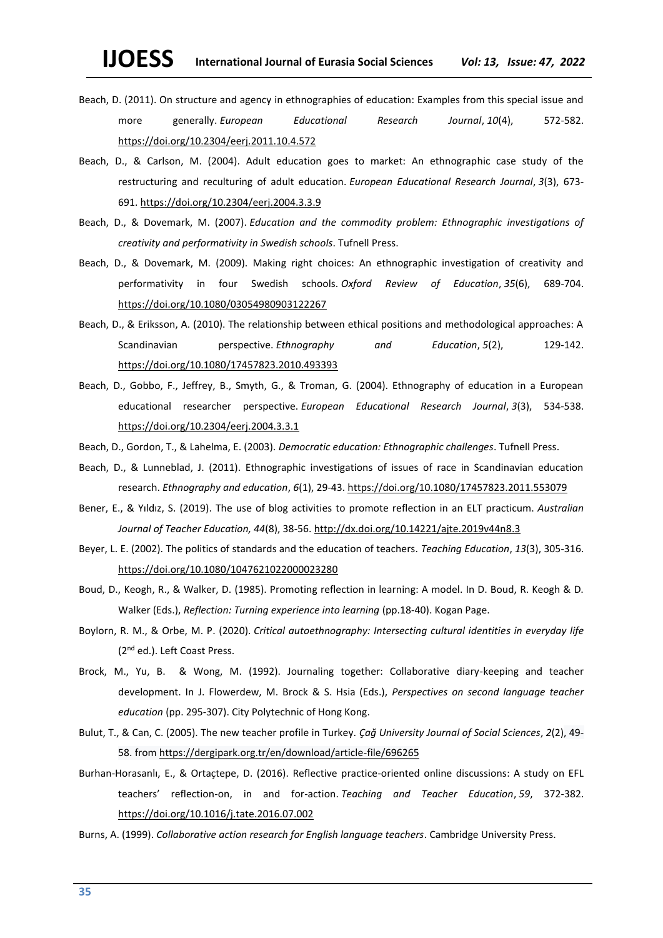- Beach, D. (2011). On structure and agency in ethnographies of education: Examples from this special issue and more generally. *European Educational Research Journal*, *10*(4), 572-582. [https://doi.org/10.2304/eerj.2011.10.4.572](https://doi.org/10.2304%2Feerj.2011.10.4.572)
- Beach, D., & Carlson, M. (2004). Adult education goes to market: An ethnographic case study of the restructuring and reculturing of adult education. *European Educational Research Journal*, *3*(3), 673- 691. [https://doi.org/10.2304/eerj.2004.3.3.9](https://doi.org/10.2304%2Feerj.2004.3.3.9)
- Beach, D., & Dovemark, M. (2007). *Education and the commodity problem: Ethnographic investigations of creativity and performativity in Swedish schools*. Tufnell Press.
- Beach, D., & Dovemark, M. (2009). Making right choices: An ethnographic investigation of creativity and performativity in four Swedish schools. *Oxford Review of Education*, *35*(6), 689-704. <https://doi.org/10.1080/03054980903122267>
- Beach, D., & Eriksson, A. (2010). The relationship between ethical positions and methodological approaches: A Scandinavian perspective. *Ethnography and Education*, *5*(2), 129-142. <https://doi.org/10.1080/17457823.2010.493393>
- Beach, D., Gobbo, F., Jeffrey, B., Smyth, G., & Troman, G. (2004). Ethnography of education in a European educational researcher perspective. *European Educational Research Journal*, *3*(3), 534-538. <https://doi.org/10.2304/eerj.2004.3.3.1>
- Beach, D., Gordon, T., & Lahelma, E. (2003). *Democratic education: Ethnographic challenges*. Tufnell Press.
- Beach, D., & Lunneblad, J. (2011). Ethnographic investigations of issues of race in Scandinavian education research. *Ethnography and education*, *6*(1), 29-43. <https://doi.org/10.1080/17457823.2011.553079>
- Bener, E., & Yıldız, S. (2019). The use of blog activities to promote reflection in an ELT practicum. *Australian Journal of Teacher Education, 44*(8), 38-56. <http://dx.doi.org/10.14221/ajte.2019v44n8.3>
- Beyer, L. E. (2002). The politics of standards and the education of teachers. *Teaching Education*, *13*(3), 305-316. <https://doi.org/10.1080/1047621022000023280>
- Boud, D., Keogh, R., & Walker, D. (1985). Promoting reflection in learning: A model. In D. Boud, R. Keogh & D. Walker (Eds.), *Reflection: Turning experience into learning* (pp.18-40). Kogan Page.
- Boylorn, R. M., & Orbe, M. P. (2020). *Critical autoethnography: Intersecting cultural identities in everyday life* (2nd ed.). Left Coast Press.
- Brock, M., Yu, B. & Wong, M. (1992). Journaling together: Collaborative diary-keeping and teacher development. In J. Flowerdew, M. Brock & S. Hsia (Eds.), *Perspectives on second language teacher education* (pp. 295-307). City Polytechnic of Hong Kong.
- Bulut, T., & Can, C. (2005). The new teacher profile in Turkey. *Çağ University Journal of Social Sciences*, *2*(2), 49- 58. from<https://dergipark.org.tr/en/download/article-file/696265>
- Burhan-Horasanlı, E., & Ortaçtepe, D. (2016). Reflective practice-oriented online discussions: A study on EFL teachers' reflection-on, in and for-action. *Teaching and Teacher Education*, *59*, 372-382. <https://doi.org/10.1016/j.tate.2016.07.002>

Burns, A. (1999). *Collaborative action research for English language teachers*. Cambridge University Press.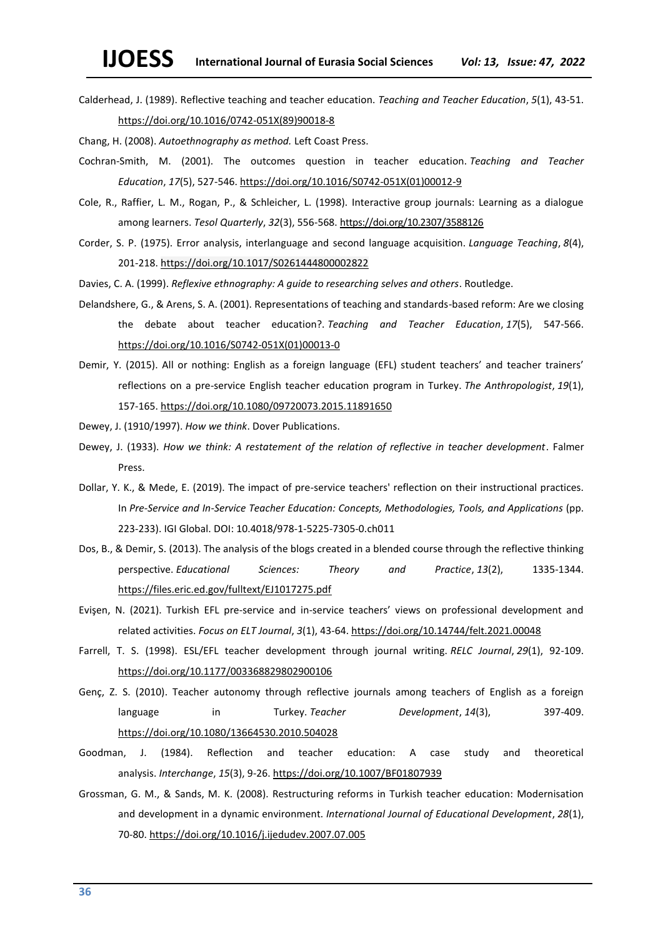Calderhead, J. (1989). Reflective teaching and teacher education. *Teaching and Teacher Education*, *5*(1), 43-51. [https://doi.org/10.1016/0742-051X\(89\)90018-8](https://doi.org/10.1016/0742-051X(89)90018-8)

Chang, H. (2008). *Autoethnography as method.* Left Coast Press.

- Cochran-Smith, M. (2001). The outcomes question in teacher education. *Teaching and Teacher Education*, *17*(5), 527-546. [https://doi.org/10.1016/S0742-051X\(01\)00012-9](https://doi.org/10.1016/S0742-051X(01)00012-9)
- Cole, R., Raffier, L. M., Rogan, P., & Schleicher, L. (1998). Interactive group journals: Learning as a dialogue among learners. *Tesol Quarterly*, *32*(3), 556-568. <https://doi.org/10.2307/3588126>
- Corder, S. P. (1975). Error analysis, interlanguage and second language acquisition. *Language Teaching*, *8*(4), 201-218[. https://doi.org/10.1017/S0261444800002822](https://doi.org/10.1017/S0261444800002822)

Davies, C. A. (1999). *Reflexive ethnography: A guide to researching selves and others*. Routledge.

- Delandshere, G., & Arens, S. A. (2001). Representations of teaching and standards-based reform: Are we closing the debate about teacher education?. *Teaching and Teacher Education*, *17*(5), 547-566. [https://doi.org/10.1016/S0742-051X\(01\)00013-0](https://doi.org/10.1016/S0742-051X(01)00013-0)
- Demir, Y. (2015). All or nothing: English as a foreign language (EFL) student teachers' and teacher trainers' reflections on a pre-service English teacher education program in Turkey. *The Anthropologist*, *19*(1), 157-165. <https://doi.org/10.1080/09720073.2015.11891650>
- Dewey, J. (1910/1997). *How we think*. Dover Publications.
- Dewey, J. (1933). *How we think: A restatement of the relation of reflective in teacher development*. Falmer Press.
- Dollar, Y. K., & Mede, E. (2019). The impact of pre-service teachers' reflection on their instructional practices. In *Pre-Service and In-Service Teacher Education: Concepts, Methodologies, Tools, and Applications* (pp. 223-233). IGI Global. DOI: 10.4018/978-1-5225-7305-0.ch011
- Dos, B., & Demir, S. (2013). The analysis of the blogs created in a blended course through the reflective thinking perspective. *Educational Sciences: Theory and Practice*, *13*(2), 1335-1344. <https://files.eric.ed.gov/fulltext/EJ1017275.pdf>
- Evişen, N. (2021). Turkish EFL pre-service and in-service teachers' views on professional development and related activities. *Focus on ELT Journal*, *3*(1), 43-64. <https://doi.org/10.14744/felt.2021.00048>
- Farrell, T. S. (1998). ESL/EFL teacher development through journal writing. *RELC Journal*, *29*(1), 92-109. [https://doi.org/10.1177/003368829802900106](https://doi.org/10.1177%2F003368829802900106)
- Genç, Z. S. (2010). Teacher autonomy through reflective journals among teachers of English as a foreign language in Turkey. *Teacher Development*, *14*(3), 397-409. <https://doi.org/10.1080/13664530.2010.504028>
- Goodman, J. (1984). Reflection and teacher education: A case study and theoretical analysis. *Interchange*, *15*(3), 9-26. [https://doi.org/10.1007/BF01807939](https://psycnet.apa.org/doi/10.1007/BF01807939)
- Grossman, G. M., & Sands, M. K. (2008). Restructuring reforms in Turkish teacher education: Modernisation and development in a dynamic environment. *International Journal of Educational Development*, *28*(1), 70-80. <https://doi.org/10.1016/j.ijedudev.2007.07.005>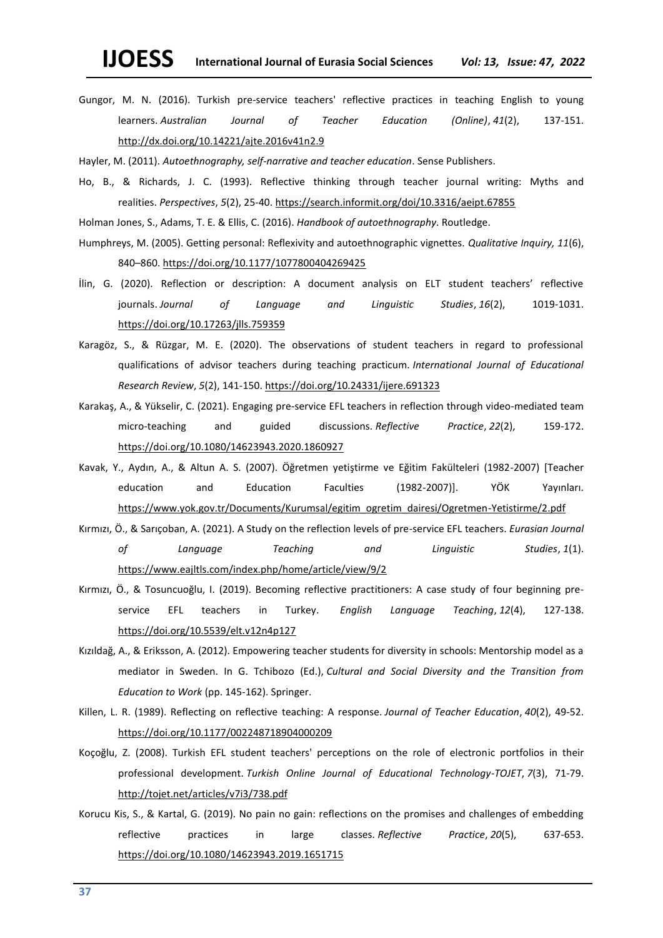Gungor, M. N. (2016). Turkish pre-service teachers' reflective practices in teaching English to young learners. *Australian Journal of Teacher Education (Online)*, *41*(2), 137-151. <http://dx.doi.org/10.14221/ajte.2016v41n2.9>

Hayler, M. (2011). *Autoethnography, self-narrative and teacher education*. Sense Publishers.

Ho, B., & Richards, J. C. (1993). Reflective thinking through teacher journal writing: Myths and realities. *Perspectives*, *5*(2), 25-40. <https://search.informit.org/doi/10.3316/aeipt.67855>

Holman Jones, S., Adams, T. E. & Ellis, C. (2016). *Handbook of autoethnography*. Routledge.

- Humphreys, M. (2005). Getting personal: Reflexivity and autoethnographic vignettes. *Qualitative Inquiry, 11*(6), 840–860. [https://doi.org/10.1177/1077800404269425](https://doi.org/10.1177%2F1077800404269425)
- İlin, G. (2020). Reflection or description: A document analysis on ELT student teachers' reflective journals. *Journal of Language and Linguistic Studies*, *16*(2), 1019-1031. <https://doi.org/10.17263/jlls.759359>
- Karagöz, S., & Rüzgar, M. E. (2020). The observations of student teachers in regard to professional qualifications of advisor teachers during teaching practicum. *International Journal of Educational Research Review*, *5*(2), 141-150.<https://doi.org/10.24331/ijere.691323>
- Karakaş, A., & Yükselir, C. (2021). Engaging pre-service EFL teachers in reflection through video-mediated team micro-teaching and guided discussions. *Reflective Practice*, *22*(2), 159-172. <https://doi.org/10.1080/14623943.2020.1860927>
- Kavak, Y., Aydın, A., & Altun A. S. (2007). Öğretmen yetiştirme ve Eğitim Fakülteleri (1982-2007) [Teacher education and Education Faculties (1982-2007)]. YÖK Yayınları. [https://www.yok.gov.tr/Documents/Kurumsal/egitim\\_ogretim\\_dairesi/Ogretmen-Yetistirme/2.pdf](https://www.yok.gov.tr/Documents/Kurumsal/egitim_ogretim_dairesi/Ogretmen-Yetistirme/2.pdf)
- Kırmızı, Ö., & Sarıçoban, A. (2021). A Study on the reflection levels of pre-service EFL teachers. *Eurasian Journal of Language Teaching and Linguistic Studies*, *1*(1). <https://www.eajltls.com/index.php/home/article/view/9/2>
- Kırmızı, Ö., & Tosuncuoğlu, I. (2019). Becoming reflective practitioners: A case study of four beginning preservice EFL teachers in Turkey. *English Language Teaching*, *12*(4), 127-138. <https://doi.org/10.5539/elt.v12n4p127>
- Kızıldağ, A., & Eriksson, A. (2012). Empowering teacher students for diversity in schools: Mentorship model as a mediator in Sweden. In G. Tchibozo (Ed.), *Cultural and Social Diversity and the Transition from Education to Work* (pp. 145-162). Springer.
- Killen, L. R. (1989). Reflecting on reflective teaching: A response. *Journal of Teacher Education*, *40*(2), 49-52. [https://doi.org/10.1177/002248718904000209](https://doi.org/10.1177%2F002248718904000209)
- Koçoğlu, Z. (2008). Turkish EFL student teachers' perceptions on the role of electronic portfolios in their professional development. *Turkish Online Journal of Educational Technology-TOJET*, *7*(3), 71-79. <http://tojet.net/articles/v7i3/738.pdf>
- Korucu Kis, S., & Kartal, G. (2019). No pain no gain: reflections on the promises and challenges of embedding reflective practices in large classes. *Reflective Practice*, *20*(5), 637-653. <https://doi.org/10.1080/14623943.2019.1651715>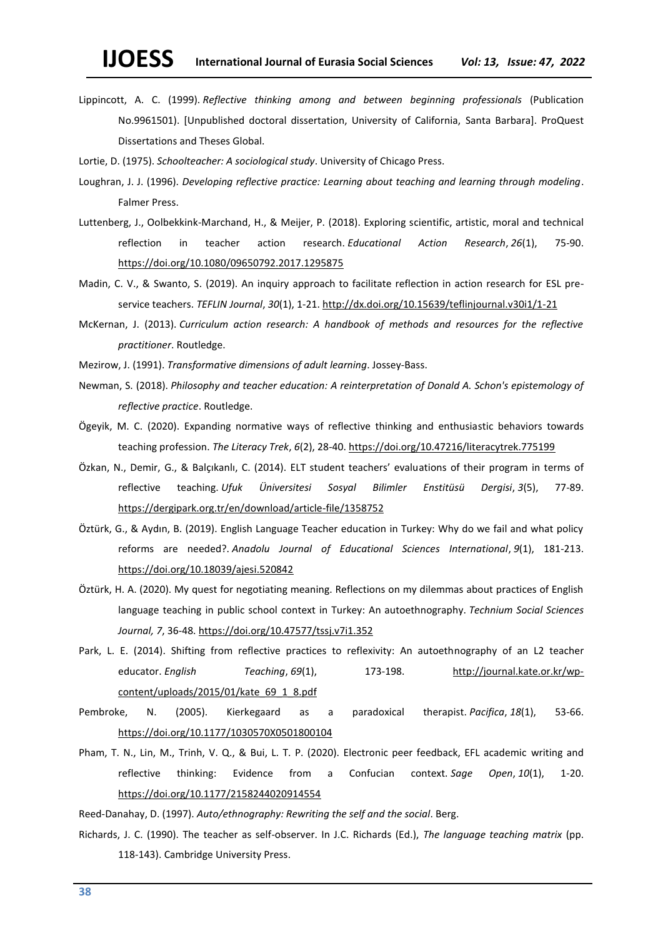- Lippincott, A. C. (1999). *Reflective thinking among and between beginning professionals* (Publication No.9961501). [Unpublished doctoral dissertation, University of California, Santa Barbara]. ProQuest Dissertations and Theses Global.
- Lortie, D. (1975). *Schoolteacher: A sociological study*. University of Chicago Press.
- Loughran, J. J. (1996). *Developing reflective practice: Learning about teaching and learning through modeling*. Falmer Press.
- Luttenberg, J., Oolbekkink-Marchand, H., & Meijer, P. (2018). Exploring scientific, artistic, moral and technical reflection in teacher action research. *Educational Action Research*, *26*(1), 75-90. <https://doi.org/10.1080/09650792.2017.1295875>
- Madin, C. V., & Swanto, S. (2019). An inquiry approach to facilitate reflection in action research for ESL preservice teachers. *TEFLIN Journal*, *30*(1), 1-21. <http://dx.doi.org/10.15639/teflinjournal.v30i1/1-21>
- McKernan, J. (2013). *Curriculum action research: A handbook of methods and resources for the reflective practitioner*. Routledge.
- Mezirow, J. (1991). *Transformative dimensions of adult learning*. Jossey-Bass.
- Newman, S. (2018). *Philosophy and teacher education: A reinterpretation of Donald A. Schon's epistemology of reflective practice*. Routledge.
- Ögeyik, M. C. (2020). Expanding normative ways of reflective thinking and enthusiastic behaviors towards teaching profession. *The Literacy Trek*, *6*(2), 28-40. <https://doi.org/10.47216/literacytrek.775199>
- Özkan, N., Demir, G., & Balçıkanlı, C. (2014). ELT student teachers' evaluations of their program in terms of reflective teaching. *Ufuk Üniversitesi Sosyal Bilimler Enstitüsü Dergisi*, *3*(5), 77-89. <https://dergipark.org.tr/en/download/article-file/1358752>
- Öztürk, G., & Aydın, B. (2019). English Language Teacher education in Turkey: Why do we fail and what policy reforms are needed?. *Anadolu Journal of Educational Sciences International*, *9*(1), 181-213. <https://doi.org/10.18039/ajesi.520842>
- Öztürk, H. A. (2020). My quest for negotiating meaning. Reflections on my dilemmas about practices of English language teaching in public school context in Turkey: An autoethnography. *Technium Social Sciences Journal, 7*, 36-48. <https://doi.org/10.47577/tssj.v7i1.352>
- Park, L. E. (2014). Shifting from reflective practices to reflexivity: An autoethnography of an L2 teacher educator. *English Teaching*, *69*(1), 173-198. [http://journal.kate.or.kr/wp](http://journal.kate.or.kr/wp-content/uploads/2015/01/kate_69_1_8.pdf)[content/uploads/2015/01/kate\\_69\\_1\\_8.pdf](http://journal.kate.or.kr/wp-content/uploads/2015/01/kate_69_1_8.pdf)
- Pembroke, N. (2005). Kierkegaard as a paradoxical therapist. *Pacifica*, *18*(1), 53-66. [https://doi.org/10.1177/1030570X0501800104](https://doi.org/10.1177%2F1030570X0501800104)
- Pham, T. N., Lin, M., Trinh, V. Q., & Bui, L. T. P. (2020). Electronic peer feedback, EFL academic writing and reflective thinking: Evidence from a Confucian context. *Sage Open*, *10*(1), 1-20. [https://doi.org/10.1177/2158244020914554](https://doi.org/10.1177%2F2158244020914554)
- Reed-Danahay, D. (1997). *Auto/ethnography: Rewriting the self and the social*. Berg.
- Richards, J. C. (1990). The teacher as self-observer. In J.C. Richards (Ed.), *The language teaching matrix* (pp. 118-143). Cambridge University Press.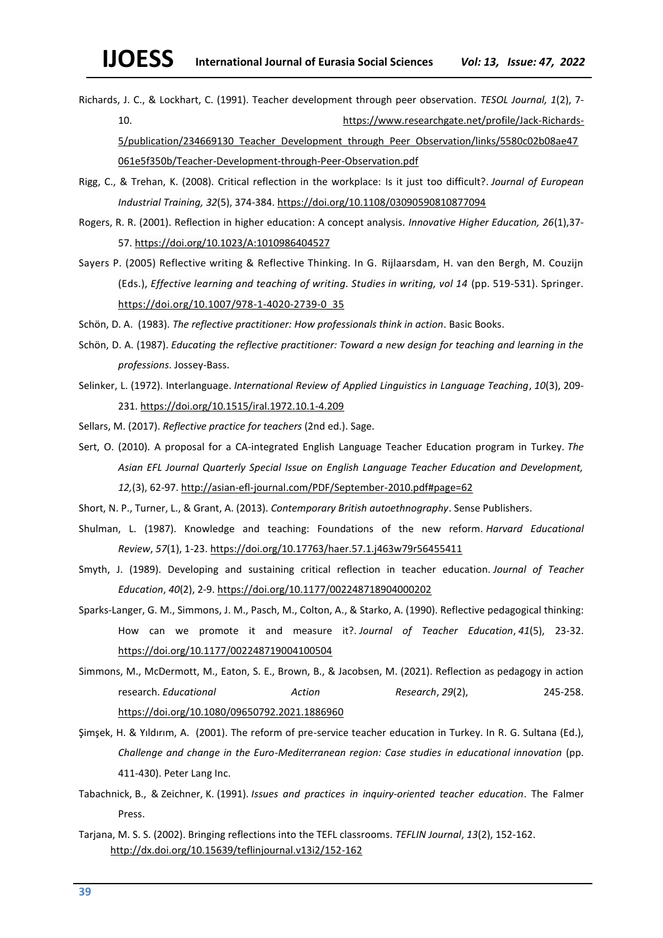Richards, J. C., & Lockhart, C. (1991). Teacher development through peer observation. *TESOL Journal, 1*(2), 7- 10. [https://www.researchgate.net/profile/Jack-Richards-](https://www.researchgate.net/profile/Jack-Richards-5/publication/234669130_Teacher_Development_through_Peer_Observation/links/5580c02b08ae47061e5f350b/Teacher-Development-through-Peer-Observation.pdf)

5/publication/234669130 Teacher Development through Peer Observation/links/5580c02b08ae47 [061e5f350b/Teacher-Development-through-Peer-Observation.pdf](https://www.researchgate.net/profile/Jack-Richards-5/publication/234669130_Teacher_Development_through_Peer_Observation/links/5580c02b08ae47061e5f350b/Teacher-Development-through-Peer-Observation.pdf)

- Rigg, C., & Trehan, K. (2008). Critical reflection in the workplace: Is it just too difficult?. *Journal of European Industrial Training, 32*(5), 374-384. <https://doi.org/10.1108/03090590810877094>
- Rogers, R. R. (2001). Reflection in higher education: A concept analysis. *Innovative Higher Education, 26*(1),37- 57. <https://doi.org/10.1023/A:1010986404527>
- Sayers P. (2005) Reflective writing & Reflective Thinking. In G. Rijlaarsdam, H. van den Bergh, M. Couzijn (Eds.), *Effective learning and teaching of writing. Studies in writing, vol 14* (pp. 519-531). Springer. [https://doi.org/10.1007/978-1-4020-2739-0\\_35](https://doi.org/10.1007/978-1-4020-2739-0_35)

Schön, D. A. (1983). *The reflective practitioner: How professionals think in action*. Basic Books.

- Schön, D. A. (1987). *Educating the reflective practitioner: Toward a new design for teaching and learning in the professions*. Jossey-Bass.
- Selinker, L. (1972). Interlanguage. *International Review of Applied Linguistics in Language Teaching*, *10*(3), 209- 231. <https://doi.org/10.1515/iral.1972.10.1-4.209>
- Sellars, M. (2017). *Reflective practice for teachers* (2nd ed.). Sage.
- Sert, O. (2010). A proposal for a CA-integrated English Language Teacher Education program in Turkey. *The Asian EFL Journal Quarterly Special Issue on English Language Teacher Education and Development, 12,*(3), 62-97. <http://asian-efl-journal.com/PDF/September-2010.pdf#page=62>
- Short, N. P., Turner, L., & Grant, A. (2013). *Contemporary British autoethnography*. Sense Publishers.
- Shulman, L. (1987). Knowledge and teaching: Foundations of the new reform. *Harvard Educational Review*, *57*(1), 1-23. <https://doi.org/10.17763/haer.57.1.j463w79r56455411>
- Smyth, J. (1989). Developing and sustaining critical reflection in teacher education. *Journal of Teacher Education*, *40*(2), 2-9. [https://doi.org/10.1177/002248718904000202](https://doi.org/10.1177%2F002248718904000202)
- Sparks-Langer, G. M., Simmons, J. M., Pasch, M., Colton, A., & Starko, A. (1990). Reflective pedagogical thinking: How can we promote it and measure it?. *Journal of Teacher Education*, *41*(5), 23-32. [https://doi.org/10.1177/002248719004100504](https://doi.org/10.1177%2F002248719004100504)
- Simmons, M., McDermott, M., Eaton, S. E., Brown, B., & Jacobsen, M. (2021). Reflection as pedagogy in action research. *Educational Action Research*, *29*(2), 245-258. <https://doi.org/10.1080/09650792.2021.1886960>
- Şimşek, H. & Yıldırım, A. (2001). The reform of pre-service teacher education in Turkey. In R. G. Sultana (Ed.), *Challenge and change in the Euro-Mediterranean region: Case studies in educational innovation (pp.* 411-430). Peter Lang Inc.
- Tabachnick, B., & Zeichner, K. (1991). *Issues and practices in inquiry‐oriented teacher education*. The Falmer Press.
- Tarjana, M. S. S. (2002). Bringing reflections into the TEFL classrooms. *TEFLIN Journal*, *13*(2), 152-162. <http://dx.doi.org/10.15639/teflinjournal.v13i2/152-162>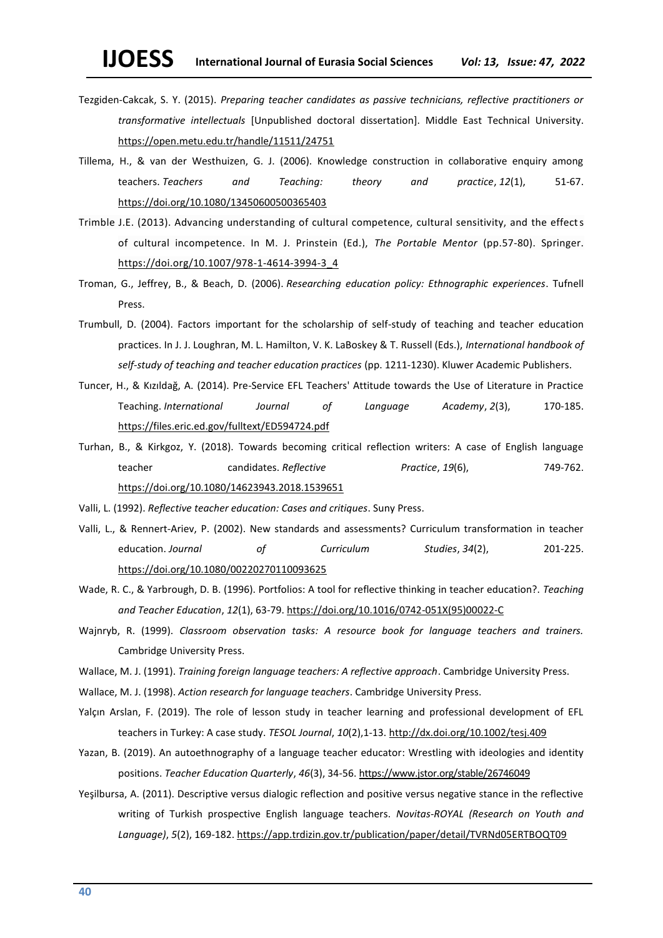- Tezgiden-Cakcak, S. Y. (2015). *Preparing teacher candidates as passive technicians, reflective practitioners or transformative intellectuals* [Unpublished doctoral dissertation]. Middle East Technical University. <https://open.metu.edu.tr/handle/11511/24751>
- Tillema, H., & van der Westhuizen, G. J. (2006). Knowledge construction in collaborative enquiry among teachers. *Teachers and Teaching: theory and practice*, *12*(1), 51-67. <https://doi.org/10.1080/13450600500365403>
- Trimble J.E. (2013). Advancing understanding of cultural competence, cultural sensitivity, and the effects of cultural incompetence. In M. J. Prinstein (Ed.), *The Portable Mentor* (pp.57-80). Springer. [https://doi.org/10.1007/978-1-4614-3994-3\\_4](https://doi.org/10.1007/978-1-4614-3994-3_4)
- Troman, G., Jeffrey, B., & Beach, D. (2006). *Researching education policy: Ethnographic experiences*. Tufnell Press.
- Trumbull, D. (2004). Factors important for the scholarship of self-study of teaching and teacher education practices. In J. J. Loughran, M. L. Hamilton, V. K. LaBoskey & T. Russell (Eds.), *International handbook of self-study of teaching and teacher education practices* (pp. 1211-1230). Kluwer Academic Publishers.
- Tuncer, H., & Kızıldağ, A. (2014). Pre-Service EFL Teachers' Attitude towards the Use of Literature in Practice Teaching. *International Journal of Language Academy*, *2*(3), 170-185. <https://files.eric.ed.gov/fulltext/ED594724.pdf>
- Turhan, B., & Kirkgoz, Y. (2018). Towards becoming critical reflection writers: A case of English language teacher candidates. *Reflective Practice*, *19*(6), 749-762. <https://doi.org/10.1080/14623943.2018.1539651>
- Valli, L. (1992). *Reflective teacher education: Cases and critiques*. Suny Press.
- Valli, L., & Rennert-Ariev, P. (2002). New standards and assessments? Curriculum transformation in teacher education. *Journal of Curriculum Studies*, *34*(2), 201-225. <https://doi.org/10.1080/00220270110093625>
- Wade, R. C., & Yarbrough, D. B. (1996). Portfolios: A tool for reflective thinking in teacher education?. *Teaching and Teacher Education*, *12*(1), 63-79. [https://doi.org/10.1016/0742-051X\(95\)00022-C](https://doi.org/10.1016/0742-051X(95)00022-C)
- Wajnryb, R. (1999). *Classroom observation tasks: A resource book for language teachers and trainers.* Cambridge University Press.
- Wallace, M. J. (1991). *Training foreign language teachers: A reflective approach*. Cambridge University Press.
- Wallace, M. J. (1998). *Action research for language teachers*. Cambridge University Press.
- Yalçın Arslan, F. (2019). The role of lesson study in teacher learning and professional development of EFL teachers in Turkey: A case study. *TESOL Journal*, *10*(2),1-13[. http://dx.doi.org/10.1002/tesj.409](http://dx.doi.org/10.1002/tesj.409)
- Yazan, B. (2019). An autoethnography of a language teacher educator: Wrestling with ideologies and identity positions. *Teacher Education Quarterly*, *46*(3), 34-56. <https://www.jstor.org/stable/26746049>
- Yeşilbursa, A. (2011). Descriptive versus dialogic reflection and positive versus negative stance in the reflective writing of Turkish prospective English language teachers. *Novitas-ROYAL (Research on Youth and Language)*, *5*(2), 169-182. <https://app.trdizin.gov.tr/publication/paper/detail/TVRNd05ERTBOQT09>